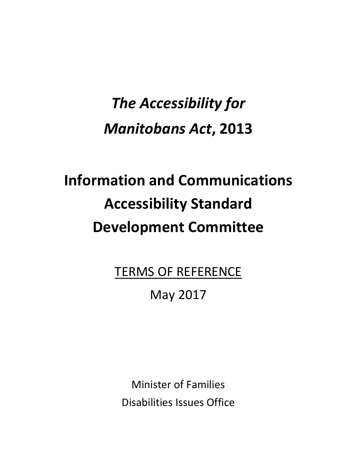## *The Accessibility for Manitobans Act***, 2013**

# **Information and Communications Accessibility Standard Development Committee**

TERMS OF REFERENCE

### May 2017

Minister of Families Disabilities Issues Office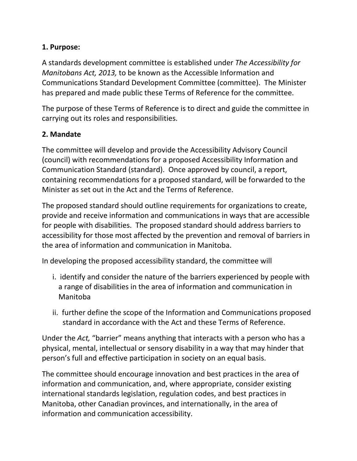#### **1. Purpose:**

A standards development committee is established under *The Accessibility for Manitobans Act, 2013,* to be known as the Accessible Information and Communications Standard Development Committee (committee). The Minister has prepared and made public these Terms of Reference for the committee.

The purpose of these Terms of Reference is to direct and guide the committee in carrying out its roles and responsibilities.

#### **2. Mandate**

The committee will develop and provide the Accessibility Advisory Council (council) with recommendations for a proposed Accessibility Information and Communication Standard (standard). Once approved by council, a report, containing recommendations for a proposed standard, will be forwarded to the Minister as set out in the Act and the Terms of Reference.

The proposed standard should outline requirements for organizations to create, provide and receive information and communications in ways that are accessible for people with disabilities. The proposed standard should address barriers to accessibility for those most affected by the prevention and removal of barriers in the area of information and communication in Manitoba.

In developing the proposed accessibility standard, the committee will

- i. identify and consider the nature of the barriers experienced by people with a range of disabilities in the area of information and communication in Manitoba
- ii. further define the scope of the Information and Communications proposed standard in accordance with the Act and these Terms of Reference.

Under the *Act,* "barrier" means anything that interacts with a person who has a physical, mental, intellectual or sensory disability in a way that may hinder that person's full and effective participation in society on an equal basis.

The committee should encourage innovation and best practices in the area of information and communication, and, where appropriate, consider existing international standards legislation, regulation codes, and best practices in Manitoba, other Canadian provinces, and internationally, in the area of information and communication accessibility.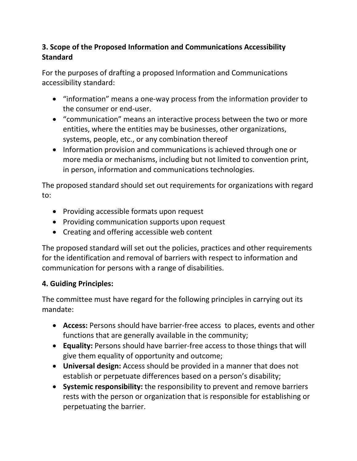#### **3. Scope of the Proposed Information and Communications Accessibility Standard**

For the purposes of drafting a proposed Information and Communications accessibility standard:

- "information" means a one-way process from the information provider to the consumer or end-user.
- "communication" means an interactive process between the two or more entities, where the entities may be businesses, other organizations, systems, people, etc., or any combination thereof
- Information provision and communications is achieved through one or more media or mechanisms, including but not limited to convention print, in person, information and communications technologies.

The proposed standard should set out requirements for organizations with regard to:

- Providing accessible formats upon request
- Providing communication supports upon request
- Creating and offering accessible web content

The proposed standard will set out the policies, practices and other requirements for the identification and removal of barriers with respect to information and communication for persons with a range of disabilities.

#### **4. Guiding Principles:**

The committee must have regard for the following principles in carrying out its mandate:

- **Access:** Persons should have barrier-free access to places, events and other functions that are generally available in the community;
- **Equality:** Persons should have barrier-free access to those things that will give them equality of opportunity and outcome;
- **Universal design:** Access should be provided in a manner that does not establish or perpetuate differences based on a person's disability;
- **Systemic responsibility:** the responsibility to prevent and remove barriers rests with the person or organization that is responsible for establishing or perpetuating the barrier.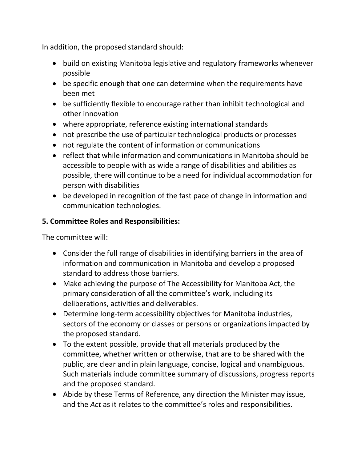In addition, the proposed standard should:

- build on existing Manitoba legislative and regulatory frameworks whenever possible
- be specific enough that one can determine when the requirements have been met
- be sufficiently flexible to encourage rather than inhibit technological and other innovation
- where appropriate, reference existing international standards
- not prescribe the use of particular technological products or processes
- not regulate the content of information or communications
- reflect that while information and communications in Manitoba should be accessible to people with as wide a range of disabilities and abilities as possible, there will continue to be a need for individual accommodation for person with disabilities
- be developed in recognition of the fast pace of change in information and communication technologies.

#### **5. Committee Roles and Responsibilities:**

The committee will:

- Consider the full range of disabilities in identifying barriers in the area of information and communication in Manitoba and develop a proposed standard to address those barriers.
- Make achieving the purpose of The Accessibility for Manitoba Act, the primary consideration of all the committee's work, including its deliberations, activities and deliverables.
- Determine long-term accessibility objectives for Manitoba industries, sectors of the economy or classes or persons or organizations impacted by the proposed standard.
- To the extent possible, provide that all materials produced by the committee, whether written or otherwise, that are to be shared with the public, are clear and in plain language, concise, logical and unambiguous. Such materials include committee summary of discussions, progress reports and the proposed standard.
- Abide by these Terms of Reference, any direction the Minister may issue, and the *Act* as it relates to the committee's roles and responsibilities.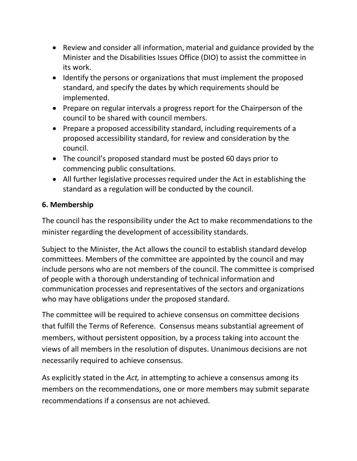- Review and consider all information, material and guidance provided by the Minister and the Disabilities Issues Office (DIO) to assist the committee in its work.
- Identify the persons or organizations that must implement the proposed standard, and specify the dates by which requirements should be implemented.
- Prepare on regular intervals a progress report for the Chairperson of the council to be shared with council members.
- Prepare a proposed accessibility standard, including requirements of a proposed accessibility standard, for review and consideration by the council.
- The council's proposed standard must be posted 60 days prior to commencing public consultations.
- All further legislative processes required under the Act in establishing the standard as a regulation will be conducted by the council.

#### **6. Membership**

The council has the responsibility under the Act to make recommendations to the minister regarding the development of accessibility standards.

Subject to the Minister, the Act allows the council to establish standard develop committees. Members of the committee are appointed by the council and may include persons who are not members of the council. The committee is comprised of people with a thorough understanding of technical information and communication processes and representatives of the sectors and organizations who may have obligations under the proposed standard.

The committee will be required to achieve consensus on committee decisions that fulfill the Terms of Reference. Consensus means substantial agreement of members, without persistent opposition, by a process taking into account the views of all members in the resolution of disputes. Unanimous decisions are not necessarily required to achieve consensus.

As explicitly stated in the *Act,* in attempting to achieve a consensus among its members on the recommendations, one or more members may submit separate recommendations if a consensus are not achieved.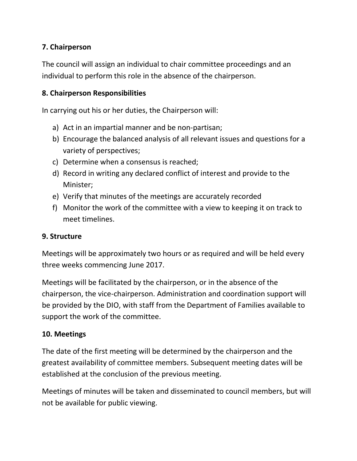#### **7. Chairperson**

The council will assign an individual to chair committee proceedings and an individual to perform this role in the absence of the chairperson.

#### **8. Chairperson Responsibilities**

In carrying out his or her duties, the Chairperson will:

- a) Act in an impartial manner and be non-partisan;
- b) Encourage the balanced analysis of all relevant issues and questions for a variety of perspectives;
- c) Determine when a consensus is reached;
- d) Record in writing any declared conflict of interest and provide to the Minister;
- e) Verify that minutes of the meetings are accurately recorded
- f) Monitor the work of the committee with a view to keeping it on track to meet timelines.

#### **9. Structure**

Meetings will be approximately two hours or as required and will be held every three weeks commencing June 2017.

Meetings will be facilitated by the chairperson, or in the absence of the chairperson, the vice-chairperson. Administration and coordination support will be provided by the DIO, with staff from the Department of Families available to support the work of the committee.

#### **10. Meetings**

The date of the first meeting will be determined by the chairperson and the greatest availability of committee members. Subsequent meeting dates will be established at the conclusion of the previous meeting.

Meetings of minutes will be taken and disseminated to council members, but will not be available for public viewing.